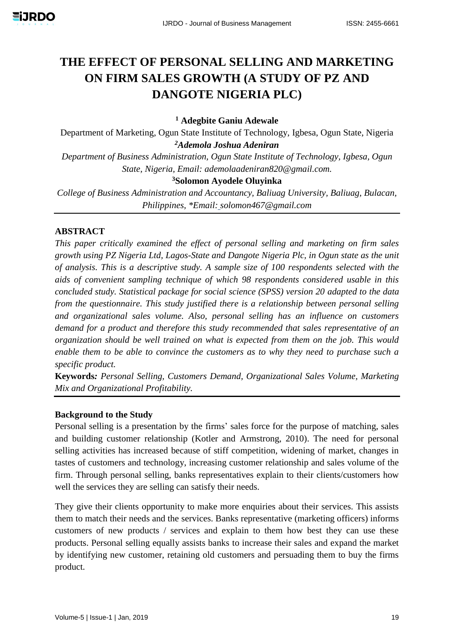# **THE EFFECT OF PERSONAL SELLING AND MARKETING ON FIRM SALES GROWTH (A STUDY OF PZ AND DANGOTE NIGERIA PLC)**

**<sup>1</sup> Adegbite Ganiu Adewale**

Department of Marketing, Ogun State Institute of Technology, Igbesa, Ogun State, Nigeria *<sup>2</sup>Ademola Joshua Adeniran*

*Department of Business Administration, Ogun State Institute of Technology, Igbesa, Ogun State, Nigeria, Email: [ademolaadeniran820@gmail.com.](mailto:ademolaadeniran820@gmail.com)*

#### **<sup>3</sup>Solomon Ayodele Oluyinka**

*College of Business Administration and Accountancy, Baliuag University, Baliuag, Bulacan, Philippines, \*Email: solomon467@gmail.com*

#### **ABSTRACT**

*This paper critically examined the effect of personal selling and marketing on firm sales growth using PZ Nigeria Ltd, Lagos-State and Dangote Nigeria Plc, in Ogun state as the unit of analysis. This is a descriptive study. A sample size of 100 respondents selected with the aids of convenient sampling technique of which 98 respondents considered usable in this concluded study. Statistical package for social science (SPSS) version 20 adapted to the data from the questionnaire. This study justified there is a relationship between personal selling and organizational sales volume. Also, personal selling has an influence on customers demand for a product and therefore this study recommended that sales representative of an organization should be well trained on what is expected from them on the job. This would enable them to be able to convince the customers as to why they need to purchase such a specific product.*

**Keywords***: Personal Selling, Customers Demand, Organizational Sales Volume, Marketing Mix and Organizational Profitability.*

#### **Background to the Study**

Personal selling is a presentation by the firms' sales force for the purpose of matching, sales and building customer relationship (Kotler and Armstrong, 2010). The need for personal selling activities has increased because of stiff competition, widening of market, changes in tastes of customers and technology, increasing customer relationship and sales volume of the firm. Through personal selling, banks representatives explain to their clients/customers how well the services they are selling can satisfy their needs.

They give their clients opportunity to make more enquiries about their services. This assists them to match their needs and the services. Banks representative (marketing officers) informs customers of new products / services and explain to them how best they can use these products. Personal selling equally assists banks to increase their sales and expand the market by identifying new customer, retaining old customers and persuading them to buy the firms product.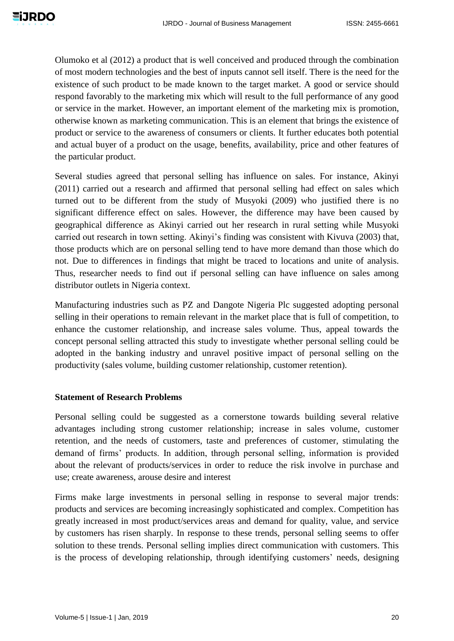Olumoko et al (2012) a product that is well conceived and produced through the combination of most modern technologies and the best of inputs cannot sell itself. There is the need for the existence of such product to be made known to the target market. A good or service should respond favorably to the marketing mix which will result to the full performance of any good or service in the market. However, an important element of the marketing mix is promotion, otherwise known as marketing communication. This is an element that brings the existence of product or service to the awareness of consumers or clients. It further educates both potential and actual buyer of a product on the usage, benefits, availability, price and other features of the particular product.

Several studies agreed that personal selling has influence on sales. For instance, Akinyi (2011) carried out a research and affirmed that personal selling had effect on sales which turned out to be different from the study of Musyoki (2009) who justified there is no significant difference effect on sales. However, the difference may have been caused by geographical difference as Akinyi carried out her research in rural setting while Musyoki carried out research in town setting. Akinyi's finding was consistent with Kivuva (2003) that, those products which are on personal selling tend to have more demand than those which do not. Due to differences in findings that might be traced to locations and unite of analysis. Thus, researcher needs to find out if personal selling can have influence on sales among distributor outlets in Nigeria context.

Manufacturing industries such as PZ and Dangote Nigeria Plc suggested adopting personal selling in their operations to remain relevant in the market place that is full of competition, to enhance the customer relationship, and increase sales volume. Thus, appeal towards the concept personal selling attracted this study to investigate whether personal selling could be adopted in the banking industry and unravel positive impact of personal selling on the productivity (sales volume, building customer relationship, customer retention).

#### **Statement of Research Problems**

Personal selling could be suggested as a cornerstone towards building several relative advantages including strong customer relationship; increase in sales volume, customer retention, and the needs of customers, taste and preferences of customer, stimulating the demand of firms' products. In addition, through personal selling, information is provided about the relevant of products/services in order to reduce the risk involve in purchase and use; create awareness, arouse desire and interest

Firms make large investments in personal selling in response to several major trends: products and services are becoming increasingly sophisticated and complex. Competition has greatly increased in most product/services areas and demand for quality, value, and service by customers has risen sharply. In response to these trends, personal selling seems to offer solution to these trends. Personal selling implies direct communication with customers. This is the process of developing relationship, through identifying customers' needs, designing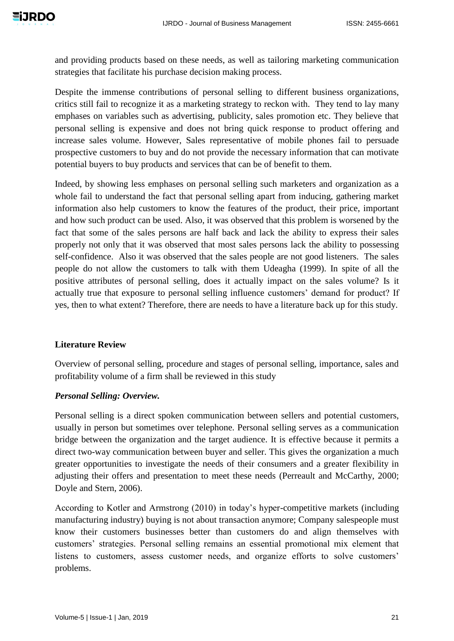and providing products based on these needs, as well as tailoring marketing communication strategies that facilitate his purchase decision making process.

Despite the immense contributions of personal selling to different business organizations, critics still fail to recognize it as a marketing strategy to reckon with. They tend to lay many emphases on variables such as advertising, publicity, sales promotion etc. They believe that personal selling is expensive and does not bring quick response to product offering and increase sales volume. However, Sales representative of mobile phones fail to persuade prospective customers to buy and do not provide the necessary information that can motivate potential buyers to buy products and services that can be of benefit to them.

Indeed, by showing less emphases on personal selling such marketers and organization as a whole fail to understand the fact that personal selling apart from inducing, gathering market information also help customers to know the features of the product, their price, important and how such product can be used. Also, it was observed that this problem is worsened by the fact that some of the sales persons are half back and lack the ability to express their sales properly not only that it was observed that most sales persons lack the ability to possessing self-confidence. Also it was observed that the sales people are not good listeners. The sales people do not allow the customers to talk with them Udeagha (1999). In spite of all the positive attributes of personal selling, does it actually impact on the sales volume? Is it actually true that exposure to personal selling influence customers' demand for product? If yes, then to what extent? Therefore, there are needs to have a literature back up for this study.

## **Literature Review**

Overview of personal selling, procedure and stages of personal selling, importance, sales and profitability volume of a firm shall be reviewed in this study

## *Personal Selling: Overview.*

Personal selling is a direct spoken communication between sellers and potential customers, usually in person but sometimes over telephone. Personal selling serves as a communication bridge between the organization and the target audience. It is effective because it permits a direct two-way communication between buyer and seller. This gives the organization a much greater opportunities to investigate the needs of their consumers and a greater flexibility in adjusting their offers and presentation to meet these needs (Perreault and McCarthy, 2000; Doyle and Stern, 2006).

According to Kotler and Armstrong (2010) in today's hyper-competitive markets (including manufacturing industry) buying is not about transaction anymore; Company salespeople must know their customers businesses better than customers do and align themselves with customers' strategies. Personal selling remains an essential promotional mix element that listens to customers, assess customer needs, and organize efforts to solve customers' problems.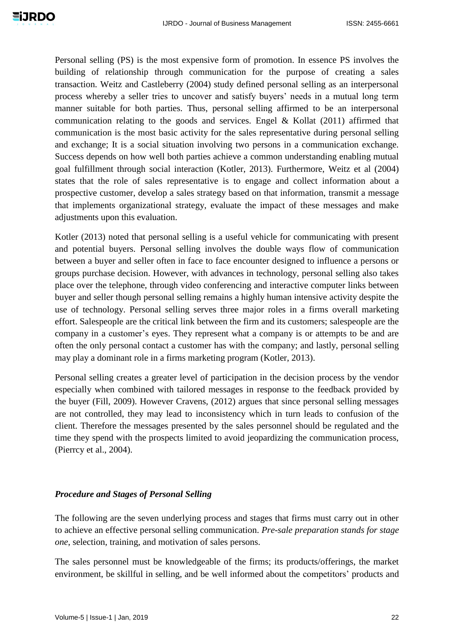Personal selling (PS) is the most expensive form of promotion. In essence PS involves the building of relationship through communication for the purpose of creating a sales transaction. Weitz and Castleberry (2004) study defined personal selling as an interpersonal process whereby a seller tries to uncover and satisfy buyers' needs in a mutual long term manner suitable for both parties. Thus, personal selling affirmed to be an interpersonal communication relating to the goods and services. Engel & Kollat (2011) affirmed that communication is the most basic activity for the sales representative during personal selling and exchange; It is a social situation involving two persons in a communication exchange. Success depends on how well both parties achieve a common understanding enabling mutual goal fulfillment through social interaction (Kotler, 2013). Furthermore, Weitz et al (2004) states that the role of sales representative is to engage and collect information about a prospective customer, develop a sales strategy based on that information, transmit a message that implements organizational strategy, evaluate the impact of these messages and make adjustments upon this evaluation.

Kotler (2013) noted that personal selling is a useful vehicle for communicating with present and potential buyers. Personal selling involves the double ways flow of communication between a buyer and seller often in face to face encounter designed to influence a persons or groups purchase decision. However, with advances in technology, personal selling also takes place over the telephone, through video conferencing and interactive computer links between buyer and seller though personal selling remains a highly human intensive activity despite the use of technology. Personal selling serves three major roles in a firms overall marketing effort. Salespeople are the critical link between the firm and its customers; salespeople are the company in a customer's eyes. They represent what a company is or attempts to be and are often the only personal contact a customer has with the company; and lastly, personal selling may play a dominant role in a firms marketing program (Kotler, 2013).

Personal selling creates a greater level of participation in the decision process by the vendor especially when combined with tailored messages in response to the feedback provided by the buyer (Fill, 2009). However Cravens, (2012) argues that since personal selling messages are not controlled, they may lead to inconsistency which in turn leads to confusion of the client. Therefore the messages presented by the sales personnel should be regulated and the time they spend with the prospects limited to avoid jeopardizing the communication process, (Pierrcy et al., 2004).

#### *Procedure and Stages of Personal Selling*

The following are the seven underlying process and stages that firms must carry out in other to achieve an effective personal selling communication. *Pre-sale preparation stands for stage one*, selection, training, and motivation of sales persons.

The sales personnel must be knowledgeable of the firms; its products/offerings, the market environment, be skillful in selling, and be well informed about the competitors' products and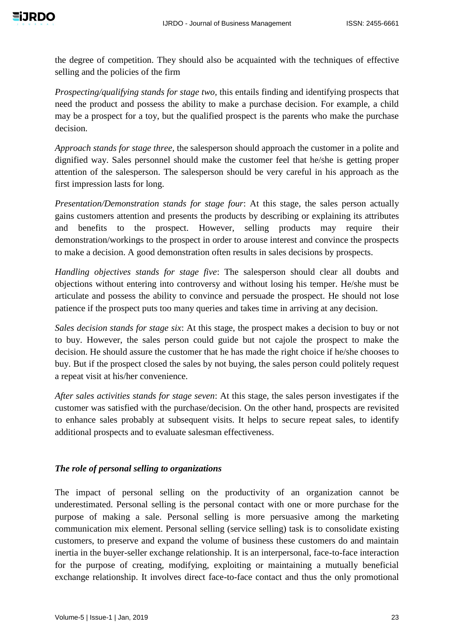the degree of competition. They should also be acquainted with the techniques of effective selling and the policies of the firm

*Prospecting/qualifying stands for stage two,* this entails finding and identifying prospects that need the product and possess the ability to make a purchase decision. For example, a child may be a prospect for a toy, but the qualified prospect is the parents who make the purchase decision.

*Approach stands for stage three,* the salesperson should approach the customer in a polite and dignified way. Sales personnel should make the customer feel that he/she is getting proper attention of the salesperson. The salesperson should be very careful in his approach as the first impression lasts for long.

*Presentation/Demonstration stands for stage four*: At this stage, the sales person actually gains customers attention and presents the products by describing or explaining its attributes and benefits to the prospect. However, selling products may require their demonstration/workings to the prospect in order to arouse interest and convince the prospects to make a decision. A good demonstration often results in sales decisions by prospects.

*Handling objectives stands for stage five*: The salesperson should clear all doubts and objections without entering into controversy and without losing his temper. He/she must be articulate and possess the ability to convince and persuade the prospect. He should not lose patience if the prospect puts too many queries and takes time in arriving at any decision.

*Sales decision stands for stage six*: At this stage, the prospect makes a decision to buy or not to buy. However, the sales person could guide but not cajole the prospect to make the decision. He should assure the customer that he has made the right choice if he/she chooses to buy. But if the prospect closed the sales by not buying, the sales person could politely request a repeat visit at his/her convenience.

*After sales activities stands for stage seven*: At this stage, the sales person investigates if the customer was satisfied with the purchase/decision. On the other hand, prospects are revisited to enhance sales probably at subsequent visits. It helps to secure repeat sales, to identify additional prospects and to evaluate salesman effectiveness.

# *The role of personal selling to organizations*

The impact of personal selling on the productivity of an organization cannot be underestimated. Personal selling is the personal contact with one or more purchase for the purpose of making a sale. Personal selling is more persuasive among the marketing communication mix element. Personal selling (service selling) task is to consolidate existing customers, to preserve and expand the volume of business these customers do and maintain inertia in the buyer-seller exchange relationship. It is an interpersonal, face-to-face interaction for the purpose of creating, modifying, exploiting or maintaining a mutually beneficial exchange relationship. It involves direct face-to-face contact and thus the only promotional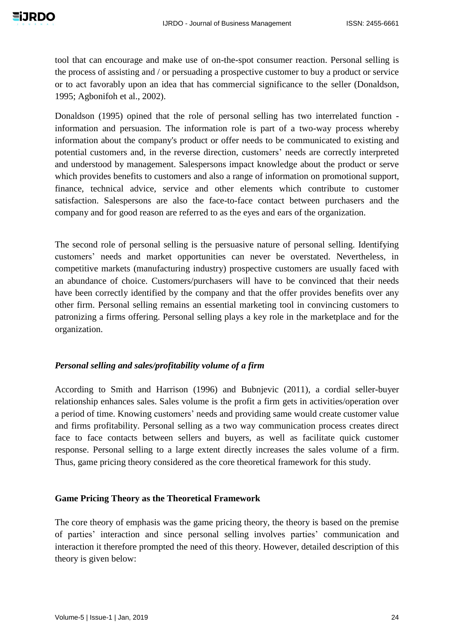tool that can encourage and make use of on-the-spot consumer reaction. Personal selling is the process of assisting and / or persuading a prospective customer to buy a product or service or to act favorably upon an idea that has commercial significance to the seller (Donaldson, 1995; Agbonifoh et al., 2002).

Donaldson (1995) opined that the role of personal selling has two interrelated function information and persuasion. The information role is part of a two-way process whereby information about the company's product or offer needs to be communicated to existing and potential customers and, in the reverse direction, customers' needs are correctly interpreted and understood by management. Salespersons impact knowledge about the product or serve which provides benefits to customers and also a range of information on promotional support, finance, technical advice, service and other elements which contribute to customer satisfaction. Salespersons are also the face-to-face contact between purchasers and the company and for good reason are referred to as the eyes and ears of the organization.

The second role of personal selling is the persuasive nature of personal selling. Identifying customers' needs and market opportunities can never be overstated. Nevertheless, in competitive markets (manufacturing industry) prospective customers are usually faced with an abundance of choice. Customers/purchasers will have to be convinced that their needs have been correctly identified by the company and that the offer provides benefits over any other firm. Personal selling remains an essential marketing tool in convincing customers to patronizing a firms offering. Personal selling plays a key role in the marketplace and for the organization.

#### *Personal selling and sales/profitability volume of a firm*

According to Smith and Harrison (1996) and Bubnjevic (2011), a cordial seller-buyer relationship enhances sales. Sales volume is the profit a firm gets in activities/operation over a period of time. Knowing customers' needs and providing same would create customer value and firms profitability. Personal selling as a two way communication process creates direct face to face contacts between sellers and buyers, as well as facilitate quick customer response. Personal selling to a large extent directly increases the sales volume of a firm. Thus, game pricing theory considered as the core theoretical framework for this study.

#### **Game Pricing Theory as the Theoretical Framework**

The core theory of emphasis was the game pricing theory, the theory is based on the premise of parties' interaction and since personal selling involves parties' communication and interaction it therefore prompted the need of this theory. However, detailed description of this theory is given below: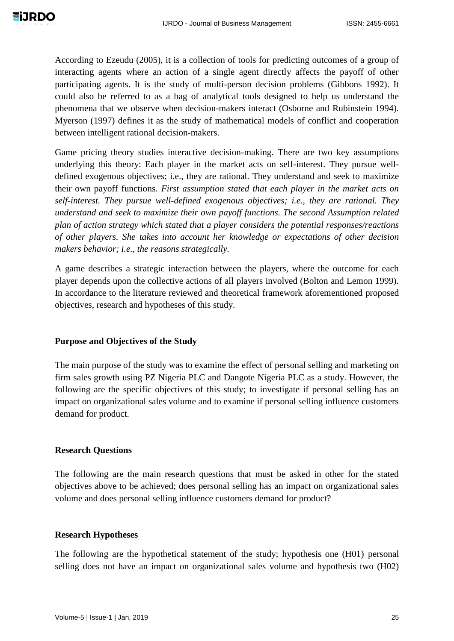

According to Ezeudu (2005), it is a collection of tools for predicting outcomes of a group of interacting agents where an action of a single agent directly affects the payoff of other participating agents. It is the study of multi-person decision problems (Gibbons 1992). It could also be referred to as a bag of analytical tools designed to help us understand the phenomena that we observe when decision-makers interact (Osborne and Rubinstein 1994). Myerson (1997) defines it as the study of mathematical models of conflict and cooperation between intelligent rational decision-makers.

Game pricing theory studies interactive decision-making. There are two key assumptions underlying this theory: Each player in the market acts on self-interest. They pursue welldefined exogenous objectives; i.e., they are rational. They understand and seek to maximize their own payoff functions. *First assumption stated that each player in the market acts on self-interest. They pursue well-defined exogenous objectives; i.e., they are rational. They understand and seek to maximize their own payoff functions. The second Assumption related plan of action strategy which stated that a player considers the potential responses/reactions of other players. She takes into account her knowledge or expectations of other decision makers behavior; i.e., the reasons strategically.* 

A game describes a strategic interaction between the players, where the outcome for each player depends upon the collective actions of all players involved (Bolton and Lemon 1999). In accordance to the literature reviewed and theoretical framework aforementioned proposed objectives, research and hypotheses of this study.

## **Purpose and Objectives of the Study**

The main purpose of the study was to examine the effect of personal selling and marketing on firm sales growth using PZ Nigeria PLC and Dangote Nigeria PLC as a study. However, the following are the specific objectives of this study; to investigate if personal selling has an impact on organizational sales volume and to examine if personal selling influence customers demand for product.

## **Research Questions**

The following are the main research questions that must be asked in other for the stated objectives above to be achieved; does personal selling has an impact on organizational sales volume and does personal selling influence customers demand for product?

#### **Research Hypotheses**

The following are the hypothetical statement of the study; hypothesis one (H01) personal selling does not have an impact on organizational sales volume and hypothesis two (H02)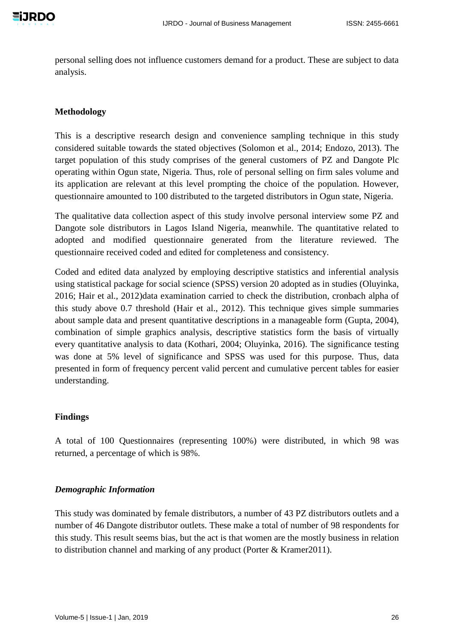personal selling does not influence customers demand for a product. These are subject to data analysis.

## **Methodology**

This is a descriptive research design and convenience sampling technique in this study considered suitable towards the stated objectives (Solomon et al., 2014; Endozo, 2013). The target population of this study comprises of the general customers of PZ and Dangote Plc operating within Ogun state, Nigeria. Thus, role of personal selling on firm sales volume and its application are relevant at this level prompting the choice of the population. However, questionnaire amounted to 100 distributed to the targeted distributors in Ogun state, Nigeria.

The qualitative data collection aspect of this study involve personal interview some PZ and Dangote sole distributors in Lagos Island Nigeria, meanwhile. The quantitative related to adopted and modified questionnaire generated from the literature reviewed. The questionnaire received coded and edited for completeness and consistency.

Coded and edited data analyzed by employing descriptive statistics and inferential analysis using statistical package for social science (SPSS) version 20 adopted as in studies (Oluyinka, 2016; Hair et al., 2012)data examination carried to check the distribution, cronbach alpha of this study above 0.7 threshold (Hair et al., 2012). This technique gives simple summaries about sample data and present quantitative descriptions in a manageable form (Gupta, 2004), combination of simple graphics analysis, descriptive statistics form the basis of virtually every quantitative analysis to data (Kothari, 2004; Oluyinka, 2016). The significance testing was done at 5% level of significance and SPSS was used for this purpose. Thus, data presented in form of frequency percent valid percent and cumulative percent tables for easier understanding.

#### **Findings**

A total of 100 Questionnaires (representing 100%) were distributed, in which 98 was returned, a percentage of which is 98%.

#### *Demographic Information*

This study was dominated by female distributors, a number of 43 PZ distributors outlets and a number of 46 Dangote distributor outlets. These make a total of number of 98 respondents for this study. This result seems bias, but the act is that women are the mostly business in relation to distribution channel and marking of any product (Porter & Kramer2011).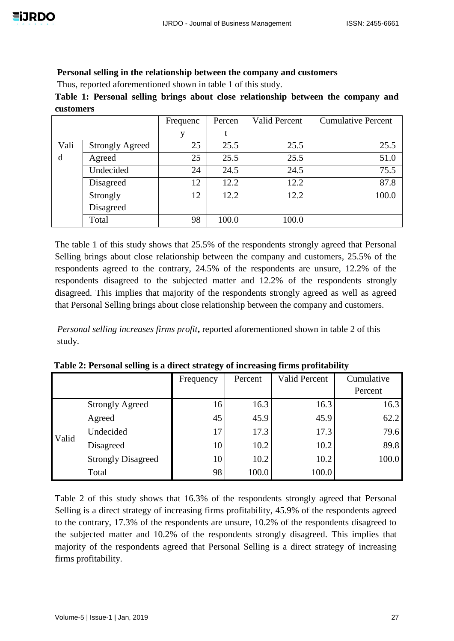## **Personal selling in the relationship between the company and customers**

Thus, reported aforementioned shown in table 1 of this study.

**Table 1: Personal selling brings about close relationship between the company and customers**

|      |                        | Frequenc | Percen | <b>Valid Percent</b> | <b>Cumulative Percent</b> |
|------|------------------------|----------|--------|----------------------|---------------------------|
|      |                        | V        |        |                      |                           |
| Vali | <b>Strongly Agreed</b> | 25       | 25.5   | 25.5                 | 25.5                      |
| d    | Agreed                 | 25       | 25.5   | 25.5                 | 51.0                      |
|      | Undecided              | 24       | 24.5   | 24.5                 | 75.5                      |
|      | Disagreed              | 12       | 12.2   | 12.2                 | 87.8                      |
|      | Strongly               | 12       | 12.2   | 12.2                 | 100.0                     |
|      | Disagreed              |          |        |                      |                           |
|      | Total                  | 98       | 100.0  | 100.0                |                           |

The table 1 of this study shows that 25.5% of the respondents strongly agreed that Personal Selling brings about close relationship between the company and customers, 25.5% of the respondents agreed to the contrary, 24.5% of the respondents are unsure, 12.2% of the respondents disagreed to the subjected matter and 12.2% of the respondents strongly disagreed. This implies that majority of the respondents strongly agreed as well as agreed that Personal Selling brings about close relationship between the company and customers.

*Personal selling increases firms profit***,** reported aforementioned shown in table 2 of this study.

|       |                           | Frequency | Percent | <b>Valid Percent</b> | Cumulative |
|-------|---------------------------|-----------|---------|----------------------|------------|
|       |                           |           |         |                      | Percent    |
|       | <b>Strongly Agreed</b>    | 16        | 16.3    | 16.3                 | 16.3       |
|       | Agreed                    | 45        | 45.9    | 45.9                 | 62.2       |
| Valid | Undecided                 | 17        | 17.3    | 17.3                 | 79.6       |
|       | Disagreed                 | 10        | 10.2    | 10.2                 | 89.8       |
|       | <b>Strongly Disagreed</b> | 10        | 10.2    | 10.2                 | 100.0      |
|       | Total                     | 98        | 100.0   | 100.0                |            |

**Table 2: Personal selling is a direct strategy of increasing firms profitability**

Table 2 of this study shows that 16.3% of the respondents strongly agreed that Personal Selling is a direct strategy of increasing firms profitability, 45.9% of the respondents agreed to the contrary, 17.3% of the respondents are unsure, 10.2% of the respondents disagreed to the subjected matter and 10.2% of the respondents strongly disagreed. This implies that majority of the respondents agreed that Personal Selling is a direct strategy of increasing firms profitability.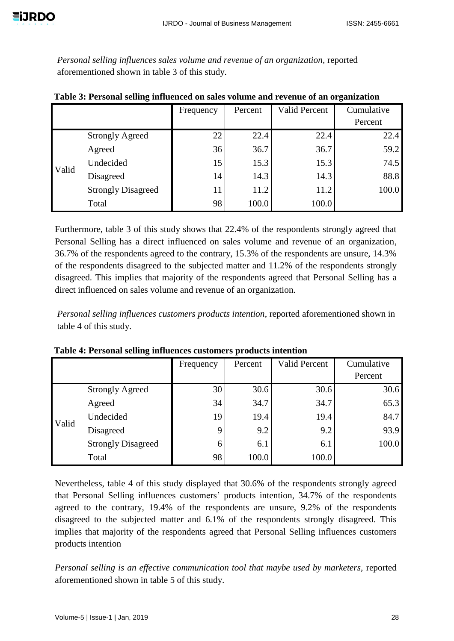*Personal selling influences sales volume and revenue of an organization,* reported aforementioned shown in table 3 of this study.

|       |                           | Frequency | Percent | <b>Valid Percent</b> | Cumulative |
|-------|---------------------------|-----------|---------|----------------------|------------|
|       |                           |           |         |                      | Percent    |
|       | <b>Strongly Agreed</b>    | 22        | 22.4    | 22.4                 | 22.4       |
|       | Agreed                    | 36        | 36.7    | 36.7                 | 59.2       |
| Valid | Undecided                 | 15        | 15.3    | 15.3                 | 74.5       |
|       | Disagreed                 | 14        | 14.3    | 14.3                 | 88.8       |
|       | <b>Strongly Disagreed</b> | 11        | 11.2    | 11.2                 | 100.0      |
|       | Total                     | 98        | 100.0   | 100.0                |            |

**Table 3: Personal selling influenced on sales volume and revenue of an organization**

Furthermore, table 3 of this study shows that 22.4% of the respondents strongly agreed that Personal Selling has a direct influenced on sales volume and revenue of an organization, 36.7% of the respondents agreed to the contrary, 15.3% of the respondents are unsure, 14.3% of the respondents disagreed to the subjected matter and 11.2% of the respondents strongly disagreed. This implies that majority of the respondents agreed that Personal Selling has a direct influenced on sales volume and revenue of an organization.

*Personal selling influences customers products intention*, reported aforementioned shown in table 4 of this study.

|       |                           | Frequency | Percent | <b>Valid Percent</b> | Cumulative |
|-------|---------------------------|-----------|---------|----------------------|------------|
|       |                           |           |         |                      | Percent    |
|       | <b>Strongly Agreed</b>    | 30        | 30.6    | 30.6                 | 30.6       |
|       | Agreed                    | 34        | 34.7    | 34.7                 | 65.3       |
| Valid | Undecided                 | 19        | 19.4    | 19.4                 | 84.7       |
|       | Disagreed                 |           | 9.2     | 9.2                  | 93.9       |
|       | <b>Strongly Disagreed</b> | 6         | 6.1     | 6.1                  | 100.0      |
|       | Total                     | 98        | 100.0   | 100.0                |            |

**Table 4: Personal selling influences customers products intention**

Nevertheless, table 4 of this study displayed that 30.6% of the respondents strongly agreed that Personal Selling influences customers' products intention, 34.7% of the respondents agreed to the contrary, 19.4% of the respondents are unsure, 9.2% of the respondents disagreed to the subjected matter and 6.1% of the respondents strongly disagreed. This implies that majority of the respondents agreed that Personal Selling influences customers products intention

*Personal selling is an effective communication tool that maybe used by marketers,* reported aforementioned shown in table 5 of this study.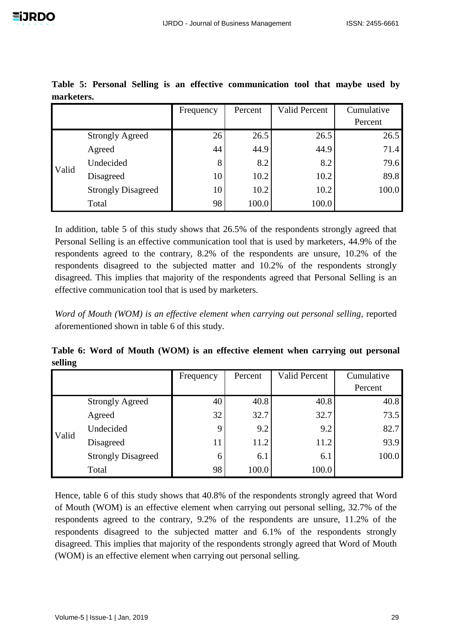|       |                           | Frequency | Percent | <b>Valid Percent</b> | Cumulative |
|-------|---------------------------|-----------|---------|----------------------|------------|
|       |                           |           |         |                      | Percent    |
|       | <b>Strongly Agreed</b>    | 26        | 26.5    | 26.5                 | 26.5       |
|       | Agreed                    | 44        | 44.9    | 44.9                 | 71.4       |
| Valid | Undecided                 | 8         | 8.2     | 8.2                  | 79.6       |
|       | Disagreed                 | 10        | 10.2    | 10.2                 | 89.8       |
|       | <b>Strongly Disagreed</b> | 10        | 10.2    | 10.2                 | 100.0      |
|       | Total                     | 98        | 100.0   | 100.0                |            |

**Table 5: Personal Selling is an effective communication tool that maybe used by marketers.**

In addition, table 5 of this study shows that 26.5% of the respondents strongly agreed that Personal Selling is an effective communication tool that is used by marketers, 44.9% of the respondents agreed to the contrary, 8.2% of the respondents are unsure, 10.2% of the respondents disagreed to the subjected matter and 10.2% of the respondents strongly disagreed. This implies that majority of the respondents agreed that Personal Selling is an effective communication tool that is used by marketers.

*Word of Mouth (WOM) is an effective element when carrying out personal selling, reported* aforementioned shown in table 6 of this study.

**Table 6: Word of Mouth (WOM) is an effective element when carrying out personal selling**

|       |                           | Frequency | Percent | <b>Valid Percent</b> | Cumulative |
|-------|---------------------------|-----------|---------|----------------------|------------|
|       |                           |           |         |                      | Percent    |
|       | <b>Strongly Agreed</b>    | 40        | 40.8    | 40.8                 | 40.8       |
|       | Agreed                    | 32        | 32.7    | 32.7                 | 73.5       |
| Valid | Undecided                 |           | 9.2     | 9.2                  | 82.7       |
|       | Disagreed                 | 11        | 11.2    | 11.2                 | 93.9       |
|       | <b>Strongly Disagreed</b> | 6         | 6.1     | 6.1                  | 100.0      |
|       | Total                     | 98        | 100.0   | 100.0                |            |

Hence, table 6 of this study shows that 40.8% of the respondents strongly agreed that Word of Mouth (WOM) is an effective element when carrying out personal selling, 32.7% of the respondents agreed to the contrary, 9.2% of the respondents are unsure, 11.2% of the respondents disagreed to the subjected matter and 6.1% of the respondents strongly disagreed. This implies that majority of the respondents strongly agreed that Word of Mouth (WOM) is an effective element when carrying out personal selling.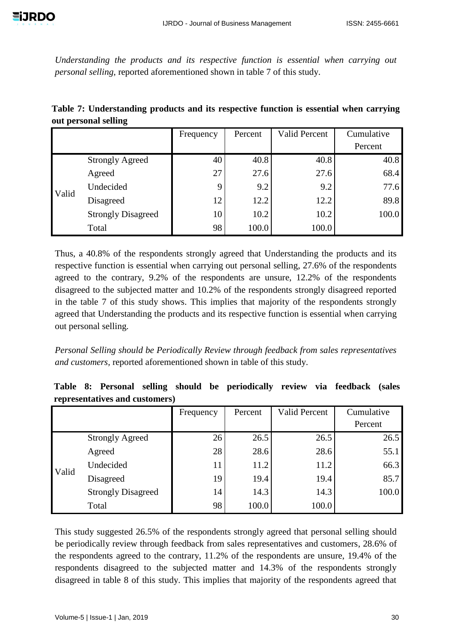*Understanding the products and its respective function is essential when carrying out personal selling,* reported aforementioned shown in table 7 of this study.

| Table 7: Understanding products and its respective function is essential when carrying |  |  |  |  |
|----------------------------------------------------------------------------------------|--|--|--|--|
| out personal selling                                                                   |  |  |  |  |

|       |                           | Frequency | Percent | <b>Valid Percent</b> | Cumulative |
|-------|---------------------------|-----------|---------|----------------------|------------|
|       |                           |           |         |                      | Percent    |
|       | <b>Strongly Agreed</b>    | 40        | 40.8    | 40.8                 | 40.8       |
|       | Agreed                    | 27        | 27.6    | 27.6                 | 68.4       |
| Valid | Undecided                 |           | 9.2     | 9.2                  | 77.6       |
|       | Disagreed                 | 12        | 12.2    | 12.2                 | 89.8       |
|       | <b>Strongly Disagreed</b> | 10        | 10.2    | 10.2                 | 100.0      |
|       | Total                     | 98        | 100.0   | 100.0                |            |

Thus, a 40.8% of the respondents strongly agreed that Understanding the products and its respective function is essential when carrying out personal selling, 27.6% of the respondents agreed to the contrary, 9.2% of the respondents are unsure, 12.2% of the respondents disagreed to the subjected matter and 10.2% of the respondents strongly disagreed reported in the table 7 of this study shows. This implies that majority of the respondents strongly agreed that Understanding the products and its respective function is essential when carrying out personal selling.

*Personal Selling should be Periodically Review through feedback from sales representatives and customers,* reported aforementioned shown in table of this study.

|  |                                |  | Table 8: Personal selling should be periodically review via feedback (sales |  |  |
|--|--------------------------------|--|-----------------------------------------------------------------------------|--|--|
|  | representatives and customers) |  |                                                                             |  |  |

|       |                           | Frequency | Percent | <b>Valid Percent</b> | Cumulative |
|-------|---------------------------|-----------|---------|----------------------|------------|
|       |                           |           |         |                      | Percent    |
|       | <b>Strongly Agreed</b>    | 26        | 26.5    | 26.5                 | 26.5       |
|       | Agreed                    | 28        | 28.6    | 28.6                 | 55.1       |
| Valid | Undecided                 | 11        | 11.2    | 11.2                 | 66.3       |
|       | Disagreed                 | 19        | 19.4    | 19.4                 | 85.7       |
|       | <b>Strongly Disagreed</b> | 14        | 14.3    | 14.3                 | 100.0      |
|       | Total                     | 98        | 100.0   | 100.0                |            |

This study suggested 26.5% of the respondents strongly agreed that personal selling should be periodically review through feedback from sales representatives and customers, 28.6% of the respondents agreed to the contrary, 11.2% of the respondents are unsure, 19.4% of the respondents disagreed to the subjected matter and 14.3% of the respondents strongly disagreed in table 8 of this study. This implies that majority of the respondents agreed that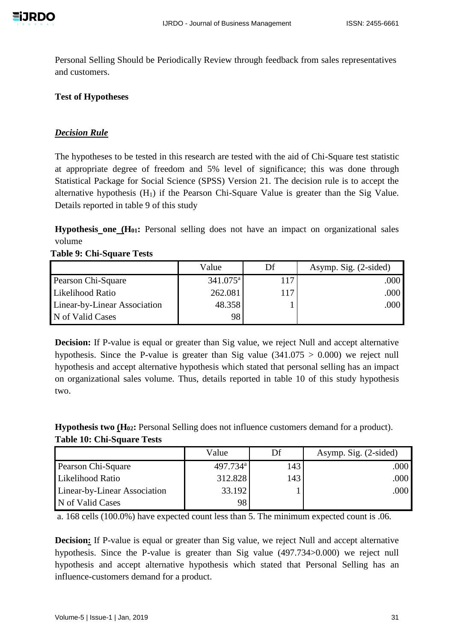Personal Selling Should be Periodically Review through feedback from sales representatives and customers.

## **Test of Hypotheses**

## *Decision Rule*

The hypotheses to be tested in this research are tested with the aid of Chi-Square test statistic at appropriate degree of freedom and 5% level of significance; this was done through Statistical Package for Social Science (SPSS) Version 21. The decision rule is to accept the alternative hypothesis  $(H_1)$  if the Pearson Chi-Square Value is greater than the Sig Value. Details reported in table 9 of this study

**Hypothesis one (H01:** Personal selling does not have an impact on organizational sales volume

**Table 9: Chi-Square Tests**

|                              | Value             | Df  | Asymp. Sig. (2-sided) |
|------------------------------|-------------------|-----|-----------------------|
| Pearson Chi-Square           | $341.075^{\rm a}$ | 117 | .000                  |
| Likelihood Ratio             | 262.081           | 117 | .000                  |
| Linear-by-Linear Association | 48.358            |     | .000                  |
| N of Valid Cases             | 98                |     |                       |

**Decision:** If P-value is equal or greater than Sig value, we reject Null and accept alternative hypothesis. Since the P-value is greater than Sig value  $(341.075 > 0.000)$  we reject null hypothesis and accept alternative hypothesis which stated that personal selling has an impact on organizational sales volume. Thus, details reported in table 10 of this study hypothesis two.

**Hypothesis two (H02:** Personal Selling does not influence customers demand for a product). **Table 10: Chi-Square Tests**

|                              | Value                | Df  | Asymp. Sig. (2-sided) |
|------------------------------|----------------------|-----|-----------------------|
| Pearson Chi-Square           | 497.734 <sup>a</sup> | 143 | .000                  |
| Likelihood Ratio             | 312.828              | 143 | ا 000.                |
| Linear-by-Linear Association | 33.192               |     | .000                  |
| N of Valid Cases             | 98                   |     |                       |

a. 168 cells (100.0%) have expected count less than 5. The minimum expected count is .06.

**Decision:** If P-value is equal or greater than Sig value, we reject Null and accept alternative hypothesis. Since the P-value is greater than Sig value (497.734>0.000) we reject null hypothesis and accept alternative hypothesis which stated that Personal Selling has an influence-customers demand for a product.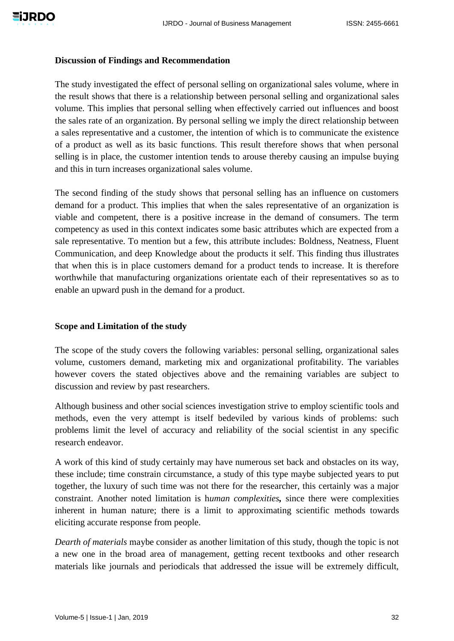#### **Discussion of Findings and Recommendation**

The study investigated the effect of personal selling on organizational sales volume, where in the result shows that there is a relationship between personal selling and organizational sales volume. This implies that personal selling when effectively carried out influences and boost the sales rate of an organization. By personal selling we imply the direct relationship between a sales representative and a customer, the intention of which is to communicate the existence of a product as well as its basic functions. This result therefore shows that when personal selling is in place, the customer intention tends to arouse thereby causing an impulse buying and this in turn increases organizational sales volume.

The second finding of the study shows that personal selling has an influence on customers demand for a product. This implies that when the sales representative of an organization is viable and competent, there is a positive increase in the demand of consumers. The term competency as used in this context indicates some basic attributes which are expected from a sale representative. To mention but a few, this attribute includes: Boldness, Neatness, Fluent Communication, and deep Knowledge about the products it self. This finding thus illustrates that when this is in place customers demand for a product tends to increase. It is therefore worthwhile that manufacturing organizations orientate each of their representatives so as to enable an upward push in the demand for a product.

#### **Scope and Limitation of the study**

The scope of the study covers the following variables: personal selling, organizational sales volume, customers demand, marketing mix and organizational profitability. The variables however covers the stated objectives above and the remaining variables are subject to discussion and review by past researchers.

Although business and other social sciences investigation strive to employ scientific tools and methods, even the very attempt is itself bedeviled by various kinds of problems: such problems limit the level of accuracy and reliability of the social scientist in any specific research endeavor.

A work of this kind of study certainly may have numerous set back and obstacles on its way, these include; time constrain circumstance, a study of this type maybe subjected years to put together, the luxury of such time was not there for the researcher, this certainly was a major constraint. Another noted limitation is h*uman complexities,* since there were complexities inherent in human nature; there is a limit to approximating scientific methods towards eliciting accurate response from people.

*Dearth of materials* maybe consider as another limitation of this study, though the topic is not a new one in the broad area of management, getting recent textbooks and other research materials like journals and periodicals that addressed the issue will be extremely difficult,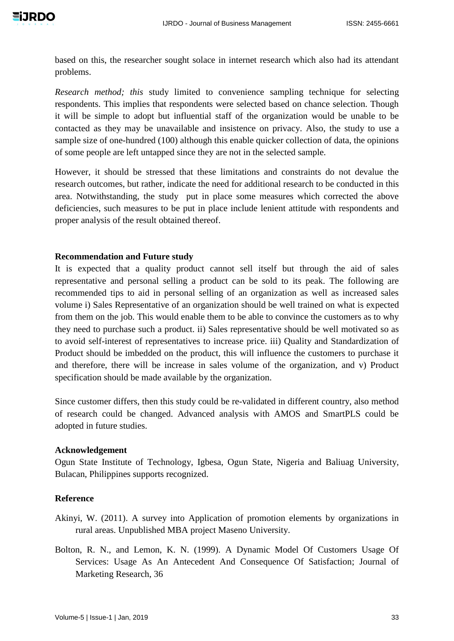based on this, the researcher sought solace in internet research which also had its attendant problems.

*Research method; this* study limited to convenience sampling technique for selecting respondents. This implies that respondents were selected based on chance selection. Though it will be simple to adopt but influential staff of the organization would be unable to be contacted as they may be unavailable and insistence on privacy. Also, the study to use a sample size of one-hundred (100) although this enable quicker collection of data, the opinions of some people are left untapped since they are not in the selected sample.

However, it should be stressed that these limitations and constraints do not devalue the research outcomes, but rather, indicate the need for additional research to be conducted in this area. Notwithstanding, the study put in place some measures which corrected the above deficiencies, such measures to be put in place include lenient attitude with respondents and proper analysis of the result obtained thereof.

## **Recommendation and Future study**

It is expected that a quality product cannot sell itself but through the aid of sales representative and personal selling a product can be sold to its peak. The following are recommended tips to aid in personal selling of an organization as well as increased sales volume i) Sales Representative of an organization should be well trained on what is expected from them on the job. This would enable them to be able to convince the customers as to why they need to purchase such a product. ii) Sales representative should be well motivated so as to avoid self-interest of representatives to increase price. iii) Quality and Standardization of Product should be imbedded on the product, this will influence the customers to purchase it and therefore, there will be increase in sales volume of the organization, and v) Product specification should be made available by the organization.

Since customer differs, then this study could be re-validated in different country, also method of research could be changed. Advanced analysis with AMOS and SmartPLS could be adopted in future studies.

## **Acknowledgement**

Ogun State Institute of Technology, Igbesa, Ogun State, Nigeria and Baliuag University, Bulacan, Philippines supports recognized.

## **Reference**

- Akinyi, W. (2011). A survey into Application of promotion elements by organizations in rural areas. Unpublished MBA project Maseno University.
- Bolton, R. N., and Lemon, K. N. (1999). A Dynamic Model Of Customers Usage Of Services: Usage As An Antecedent And Consequence Of Satisfaction; Journal of Marketing Research, 36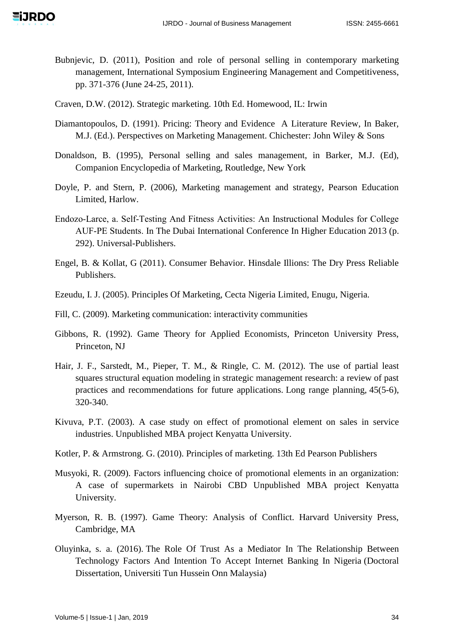- Bubnjevic, D. (2011), Position and role of personal selling in contemporary marketing management, International Symposium Engineering Management and Competitiveness, pp. 371-376 (June 24-25, 2011).
- Craven, D.W. (2012). Strategic marketing. 10th Ed. Homewood, IL: Irwin
- Diamantopoulos, D. (1991). Pricing: Theory and Evidence A Literature Review, In Baker, M.J. (Ed.). Perspectives on Marketing Management. Chichester: John Wiley & Sons
- Donaldson, B. (1995), Personal selling and sales management, in Barker, M.J. (Ed), Companion Encyclopedia of Marketing, Routledge, New York
- Doyle, P. and Stern, P. (2006), Marketing management and strategy, Pearson Education Limited, Harlow.
- Endozo‐Larce, a. Self‐Testing And Fitness Activities: An Instructional Modules for College AUF‐PE Students. In The Dubai International Conference In Higher Education 2013 (p. 292). Universal-Publishers.
- Engel, B. & Kollat, G (2011). Consumer Behavior. Hinsdale Illions: The Dry Press Reliable Publishers.
- Ezeudu, I. J. (2005). Principles Of Marketing, Cecta Nigeria Limited, Enugu, Nigeria.
- Fill, C. (2009). Marketing communication: interactivity communities
- Gibbons, R. (1992). Game Theory for Applied Economists, Princeton University Press, Princeton, NJ
- Hair, J. F., Sarstedt, M., Pieper, T. M., & Ringle, C. M. (2012). The use of partial least squares structural equation modeling in strategic management research: a review of past practices and recommendations for future applications. Long range planning, 45(5-6), 320-340.
- Kivuva, P.T. (2003). A case study on effect of promotional element on sales in service industries. Unpublished MBA project Kenyatta University.
- Kotler, P. & Armstrong. G. (2010). Principles of marketing. 13th Ed Pearson Publishers
- Musyoki, R. (2009). Factors influencing choice of promotional elements in an organization: A case of supermarkets in Nairobi CBD Unpublished MBA project Kenyatta University.
- Myerson, R. B. (1997). Game Theory: Analysis of Conflict. Harvard University Press, Cambridge, MA
- Oluyinka, s. a. (2016). The Role Of Trust As a Mediator In The Relationship Between Technology Factors And Intention To Accept Internet Banking In Nigeria (Doctoral Dissertation, Universiti Tun Hussein Onn Malaysia)